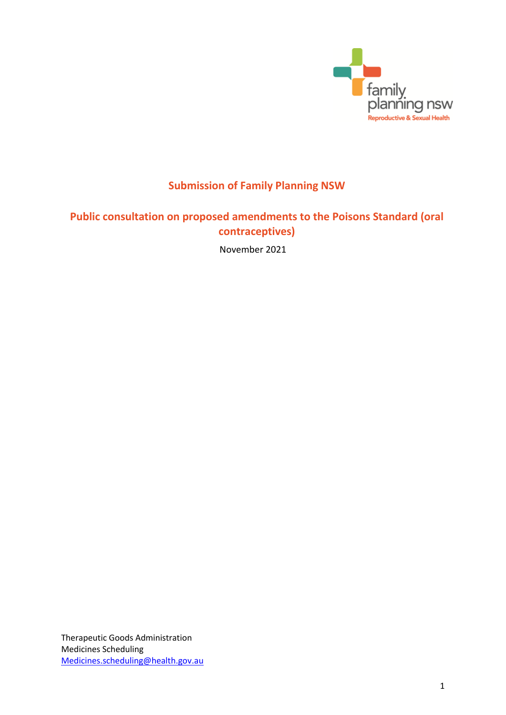

# **Submission of Family Planning NSW**

## **Public consultation on proposed amendments to the Poisons Standard (oral contraceptives)**

November 2021

Therapeutic Goods Administration Medicines Scheduling [Medicines.scheduling@health.gov.au](mailto:Medicines.scheduling@health.gov.au)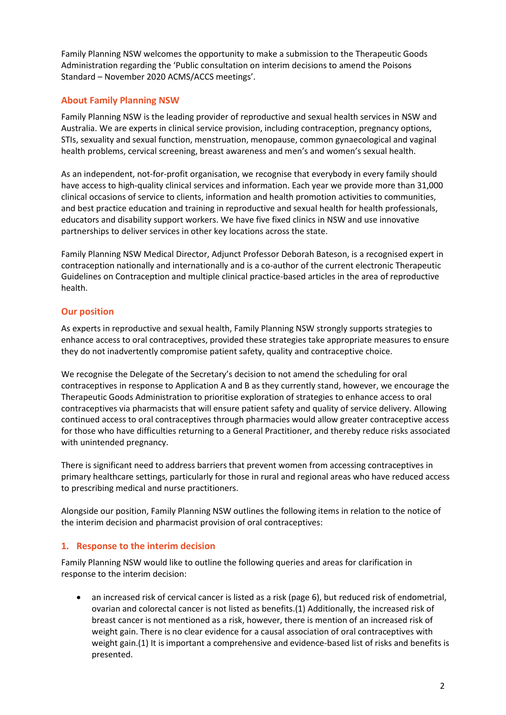Family Planning NSW welcomes the opportunity to make a submission to the Therapeutic Goods Administration regarding the 'Public consultation on interim decisions to amend the Poisons Standard – November 2020 ACMS/ACCS meetings'.

## **About Family Planning NSW**

Family Planning NSW is the leading provider of reproductive and sexual health services in NSW and Australia. We are experts in clinical service provision, including contraception, pregnancy options, STIs, sexuality and sexual function, menstruation, menopause, common gynaecological and vaginal health problems, cervical screening, breast awareness and men's and women's sexual health.

As an independent, not-for-profit organisation, we recognise that everybody in every family should have access to high-quality clinical services and information. Each year we provide more than 31,000 clinical occasions of service to clients, information and health promotion activities to communities, and best practice education and training in reproductive and sexual health for health professionals, educators and disability support workers. We have five fixed clinics in NSW and use innovative partnerships to deliver services in other key locations across the state.

Family Planning NSW Medical Director, Adjunct Professor Deborah Bateson, is a recognised expert in contraception nationally and internationally and is a co-author of the current electronic Therapeutic Guidelines on Contraception and multiple clinical practice-based articles in the area of reproductive health.

### **Our position**

As experts in reproductive and sexual health, Family Planning NSW strongly supports strategies to enhance access to oral contraceptives, provided these strategies take appropriate measures to ensure they do not inadvertently compromise patient safety, quality and contraceptive choice.

We recognise the Delegate of the Secretary's decision to not amend the scheduling for oral contraceptives in response to Application A and B as they currently stand, however, we encourage the Therapeutic Goods Administration to prioritise exploration of strategies to enhance access to oral contraceptives via pharmacists that will ensure patient safety and quality of service delivery. Allowing continued access to oral contraceptives through pharmacies would allow greater contraceptive access for those who have difficulties returning to a General Practitioner, and thereby reduce risks associated with unintended pregnancy.

There is significant need to address barriers that prevent women from accessing contraceptives in primary healthcare settings, particularly for those in rural and regional areas who have reduced access to prescribing medical and nurse practitioners.

Alongside our position, Family Planning NSW outlines the following items in relation to the notice of the interim decision and pharmacist provision of oral contraceptives:

#### **1. Response to the interim decision**

Family Planning NSW would like to outline the following queries and areas for clarification in response to the interim decision:

 an increased risk of cervical cancer is listed as a risk (page 6), but reduced risk of endometrial, ovarian and colorectal cancer is not listed as benefits.(1) Additionally, the increased risk of breast cancer is not mentioned as a risk, however, there is mention of an increased risk of weight gain. There is no clear evidence for a causal association of oral contraceptives with weight gain.(1) It is important a comprehensive and evidence-based list of risks and benefits is presented.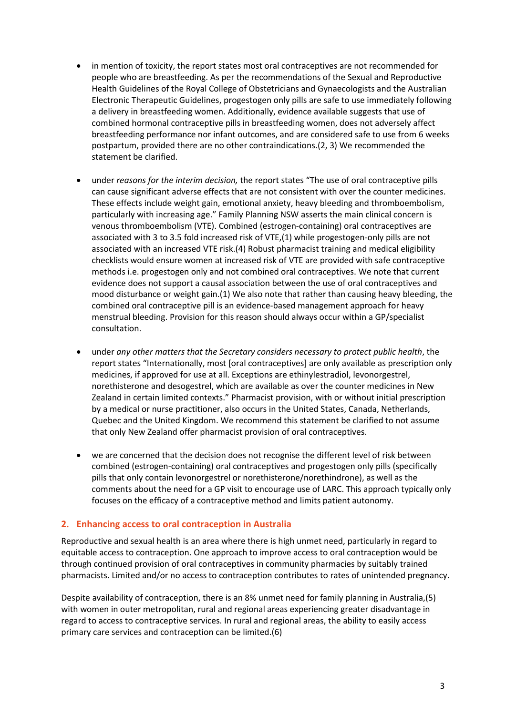- in mention of toxicity, the report states most oral contraceptives are not recommended for people who are breastfeeding. As per the recommendations of the Sexual and Reproductive Health Guidelines of the Royal College of Obstetricians and Gynaecologists and the Australian Electronic Therapeutic Guidelines, progestogen only pills are safe to use immediately following a delivery in breastfeeding women. Additionally, evidence available suggests that use of combined hormonal contraceptive pills in breastfeeding women, does not adversely affect breastfeeding performance nor infant outcomes, and are considered safe to use from 6 weeks postpartum, provided there are no other contraindications.(2, 3) We recommended the statement be clarified.
- under *reasons for the interim decision,* the report states "The use of oral contraceptive pills can cause significant adverse effects that are not consistent with over the counter medicines. These effects include weight gain, emotional anxiety, heavy bleeding and thromboembolism, particularly with increasing age." Family Planning NSW asserts the main clinical concern is venous thromboembolism (VTE). Combined (estrogen-containing) oral contraceptives are associated with 3 to 3.5 fold increased risk of VTE,(1) while progestogen-only pills are not associated with an increased VTE risk.(4) Robust pharmacist training and medical eligibility checklists would ensure women at increased risk of VTE are provided with safe contraceptive methods i.e. progestogen only and not combined oral contraceptives. We note that current evidence does not support a causal association between the use of oral contraceptives and mood disturbance or weight gain.(1) We also note that rather than causing heavy bleeding, the combined oral contraceptive pill is an evidence-based management approach for heavy menstrual bleeding. Provision for this reason should always occur within a GP/specialist consultation.
- under *any other matters that the Secretary considers necessary to protect public health*, the report states "Internationally, most [oral contraceptives] are only available as prescription only medicines, if approved for use at all. Exceptions are ethinylestradiol, levonorgestrel, norethisterone and desogestrel, which are available as over the counter medicines in New Zealand in certain limited contexts." Pharmacist provision, with or without initial prescription by a medical or nurse practitioner, also occurs in the United States, Canada, Netherlands, Quebec and the United Kingdom. We recommend this statement be clarified to not assume that only New Zealand offer pharmacist provision of oral contraceptives.
- we are concerned that the decision does not recognise the different level of risk between combined (estrogen-containing) oral contraceptives and progestogen only pills (specifically pills that only contain levonorgestrel or norethisterone/norethindrone), as well as the comments about the need for a GP visit to encourage use of LARC. This approach typically only focuses on the efficacy of a contraceptive method and limits patient autonomy.

#### **2. Enhancing access to oral contraception in Australia**

Reproductive and sexual health is an area where there is high unmet need, particularly in regard to equitable access to contraception. One approach to improve access to oral contraception would be through continued provision of oral contraceptives in community pharmacies by suitably trained pharmacists. Limited and/or no access to contraception contributes to rates of unintended pregnancy.

Despite availability of contraception, there is an 8% unmet need for family planning in Australia,(5) with women in outer metropolitan, rural and regional areas experiencing greater disadvantage in regard to access to contraceptive services. In rural and regional areas, the ability to easily access primary care services and contraception can be limited.(6)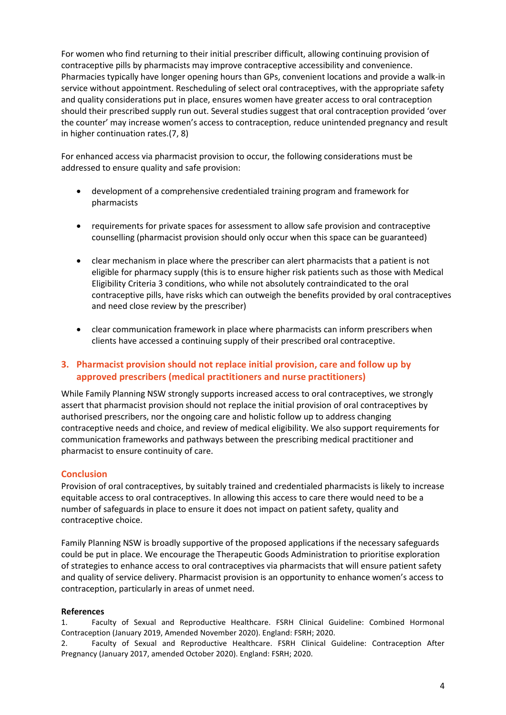For women who find returning to their initial prescriber difficult, allowing continuing provision of contraceptive pills by pharmacists may improve contraceptive accessibility and convenience. Pharmacies typically have longer opening hours than GPs, convenient locations and provide a walk-in service without appointment. Rescheduling of select oral contraceptives, with the appropriate safety and quality considerations put in place, ensures women have greater access to oral contraception should their prescribed supply run out. Several studies suggest that oral contraception provided 'over the counter' may increase women's access to contraception, reduce unintended pregnancy and result in higher continuation rates.(7, 8)

For enhanced access via pharmacist provision to occur, the following considerations must be addressed to ensure quality and safe provision:

- development of a comprehensive credentialed training program and framework for pharmacists
- requirements for private spaces for assessment to allow safe provision and contraceptive counselling (pharmacist provision should only occur when this space can be guaranteed)
- clear mechanism in place where the prescriber can alert pharmacists that a patient is not eligible for pharmacy supply (this is to ensure higher risk patients such as those with Medical Eligibility Criteria 3 conditions, who while not absolutely contraindicated to the oral contraceptive pills, have risks which can outweigh the benefits provided by oral contraceptives and need close review by the prescriber)
- clear communication framework in place where pharmacists can inform prescribers when clients have accessed a continuing supply of their prescribed oral contraceptive.

### **3. Pharmacist provision should not replace initial provision, care and follow up by approved prescribers (medical practitioners and nurse practitioners)**

While Family Planning NSW strongly supports increased access to oral contraceptives, we strongly assert that pharmacist provision should not replace the initial provision of oral contraceptives by authorised prescribers, nor the ongoing care and holistic follow up to address changing contraceptive needs and choice, and review of medical eligibility. We also support requirements for communication frameworks and pathways between the prescribing medical practitioner and pharmacist to ensure continuity of care.

#### **Conclusion**

Provision of oral contraceptives, by suitably trained and credentialed pharmacists is likely to increase equitable access to oral contraceptives. In allowing this access to care there would need to be a number of safeguards in place to ensure it does not impact on patient safety, quality and contraceptive choice.

Family Planning NSW is broadly supportive of the proposed applications if the necessary safeguards could be put in place. We encourage the Therapeutic Goods Administration to prioritise exploration of strategies to enhance access to oral contraceptives via pharmacists that will ensure patient safety and quality of service delivery. Pharmacist provision is an opportunity to enhance women's access to contraception, particularly in areas of unmet need.

#### **References**

1. Faculty of Sexual and Reproductive Healthcare. FSRH Clinical Guideline: Combined Hormonal Contraception (January 2019, Amended November 2020). England: FSRH; 2020.

2. Faculty of Sexual and Reproductive Healthcare. FSRH Clinical Guideline: Contraception After Pregnancy (January 2017, amended October 2020). England: FSRH; 2020.